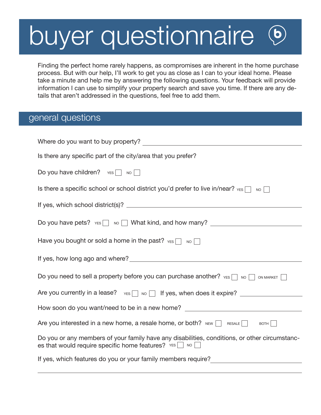## buyer questionnaire  $\overline{\mathbf{b}}$

Finding the perfect home rarely happens, as compromises are inherent in the home purchase process. But with our help, I'll work to get you as close as I can to your ideal home. Please take a minute and help me by answering the following questions. Your feedback will provide information I can use to simplify your property search and save you time. If there are any details that aren't addressed in the questions, feel free to add them.

## general questions

| Where do you want to buy property?                                                                                                                             |  |
|----------------------------------------------------------------------------------------------------------------------------------------------------------------|--|
| Is there any specific part of the city/area that you prefer?                                                                                                   |  |
| Do you have children? $YES \n\bigcap_{N \in \mathbb{N}} NQ$                                                                                                    |  |
| Is there a specific school or school district you'd prefer to live in/near? $YES \cap VQ$                                                                      |  |
|                                                                                                                                                                |  |
| Do you have pets? $YES$ No $\Box$ What kind, and how many?                                                                                                     |  |
| Have you bought or sold a home in the past? $YES \cap W$                                                                                                       |  |
|                                                                                                                                                                |  |
| Do you need to sell a property before you can purchase another? $YES \cap SO \cap O$ ON MARKET $\Box$                                                          |  |
|                                                                                                                                                                |  |
| Are you currently in a lease? $\forall$ res $\Box$ No $\Box$ If yes, when does it expire?                                                                      |  |
| How soon do you want/need to be in a new home? _________________________________                                                                               |  |
| Are you interested in a new home, a resale home, or both? NEW $\Box$ RESALE $\Box$ BOTH                                                                        |  |
| Do you or any members of your family have any disabilities, conditions, or other circumstanc-<br>es that would require specific home features? $YES$ $\Box$ NO |  |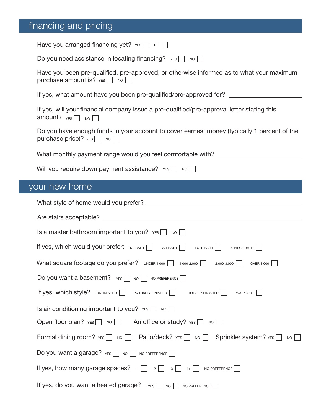## financing and pricing

| Have you arranged financing yet? $YES$ No $\Box$                                                                                  |
|-----------------------------------------------------------------------------------------------------------------------------------|
| Do you need assistance in locating financing? $YES$ No $\Box$                                                                     |
| Have you been pre-qualified, pre-approved, or otherwise informed as to what your maximum<br>purchase amount is? $YES$ NO          |
| If yes, what amount have you been pre-qualified/pre-approved for?                                                                 |
| If yes, will your financial company issue a pre-qualified/pre-approval letter stating this<br>amount? $YES \n\bigcap_{N \in S} N$ |
| Do you have enough funds in your account to cover earnest money (typically 1 percent of the<br>purchase price)? $YES$ No [        |
| What monthly payment range would you feel comfortable with? ____________________                                                  |
| Will you require down payment assistance? $v_{ES}$ No $\Box$                                                                      |
| your new home                                                                                                                     |
|                                                                                                                                   |
|                                                                                                                                   |
| Is a master bathroom important to you? $YES$ No $\Box$                                                                            |
| If yes, which would your prefer: 1/2 BATH 3/4 BATH FULL BATH 3-PIECE BATH                                                         |
| What square footage do you prefer? UNDER 1,000 1,000-2,000 2,000-3,000   OVER 3,000                                               |
| Do you want a basement? $v_{ES}$<br>NO NO PREFERENCE                                                                              |
| If yes, which style?<br><b>UNFINISHED</b><br>PARTIALLY FINISHED<br><b>TOTALLY FINISHED</b><br>WALK-OUT                            |
| Is air conditioning important to you? $YES \nightharpoonup \nightharpoonup \nightharpoonup$                                       |
| Open floor plan? $YES \n\bigcap_{N \cup \Box} N$<br>An office or study? YES<br>NO                                                 |
| Formal dining room? YES vo<br><b>NO</b>                                                                                           |
| Do you want a garage? YES NO NO PREFERENCE                                                                                        |
| If yes, how many garage spaces? $\Box$<br>NO PREFERENCE<br>$2$  <br>$\mathbf{3}$<br>$4+$                                          |
| If yes, do you want a heated garage?<br>YES<br>NO PREFERENCE<br><b>NO</b>                                                         |